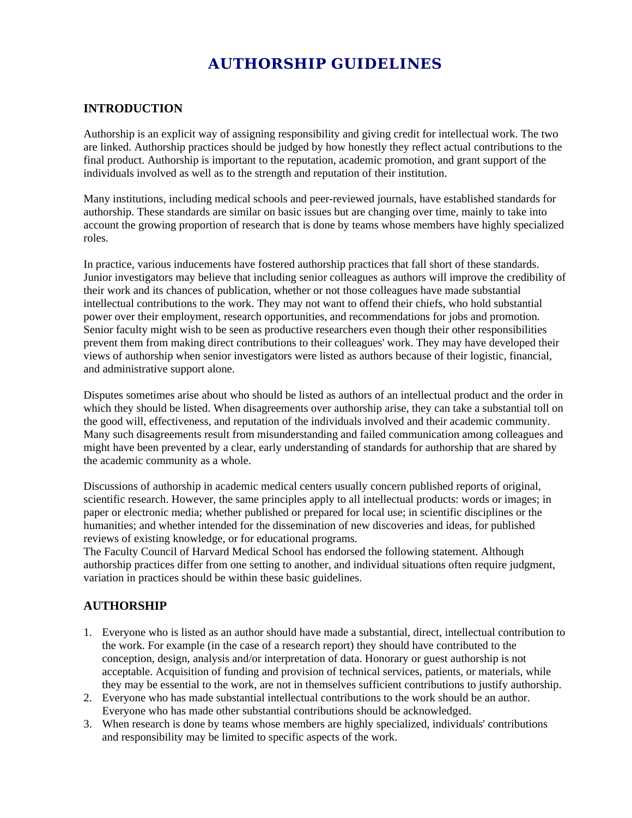# **AUTHORSHIP GUIDELINES**

### **INTRODUCTION**

Authorship is an explicit way of assigning responsibility and giving credit for intellectual work. The two are linked. Authorship practices should be judged by how honestly they reflect actual contributions to the final product. Authorship is important to the reputation, academic promotion, and grant support of the individuals involved as well as to the strength and reputation of their institution.

Many institutions, including medical schools and peer-reviewed journals, have established standards for authorship. These standards are similar on basic issues but are changing over time, mainly to take into account the growing proportion of research that is done by teams whose members have highly specialized roles.

In practice, various inducements have fostered authorship practices that fall short of these standards. Junior investigators may believe that including senior colleagues as authors will improve the credibility of their work and its chances of publication, whether or not those colleagues have made substantial intellectual contributions to the work. They may not want to offend their chiefs, who hold substantial power over their employment, research opportunities, and recommendations for jobs and promotion. Senior faculty might wish to be seen as productive researchers even though their other responsibilities prevent them from making direct contributions to their colleagues' work. They may have developed their views of authorship when senior investigators were listed as authors because of their logistic, financial, and administrative support alone.

Disputes sometimes arise about who should be listed as authors of an intellectual product and the order in which they should be listed. When disagreements over authorship arise, they can take a substantial toll on the good will, effectiveness, and reputation of the individuals involved and their academic community. Many such disagreements result from misunderstanding and failed communication among colleagues and might have been prevented by a clear, early understanding of standards for authorship that are shared by the academic community as a whole.

Discussions of authorship in academic medical centers usually concern published reports of original, scientific research. However, the same principles apply to all intellectual products: words or images; in paper or electronic media; whether published or prepared for local use; in scientific disciplines or the humanities; and whether intended for the dissemination of new discoveries and ideas, for published reviews of existing knowledge, or for educational programs.

The Faculty Council of Harvard Medical School has endorsed the following statement. Although authorship practices differ from one setting to another, and individual situations often require judgment, variation in practices should be within these basic guidelines.

#### **AUTHORSHIP**

- 1. Everyone who is listed as an author should have made a substantial, direct, intellectual contribution to the work. For example (in the case of a research report) they should have contributed to the conception, design, analysis and/or interpretation of data. Honorary or guest authorship is not acceptable. Acquisition of funding and provision of technical services, patients, or materials, while they may be essential to the work, are not in themselves sufficient contributions to justify authorship.
- 2. Everyone who has made substantial intellectual contributions to the work should be an author. Everyone who has made other substantial contributions should be acknowledged.
- 3. When research is done by teams whose members are highly specialized, individuals' contributions and responsibility may be limited to specific aspects of the work.